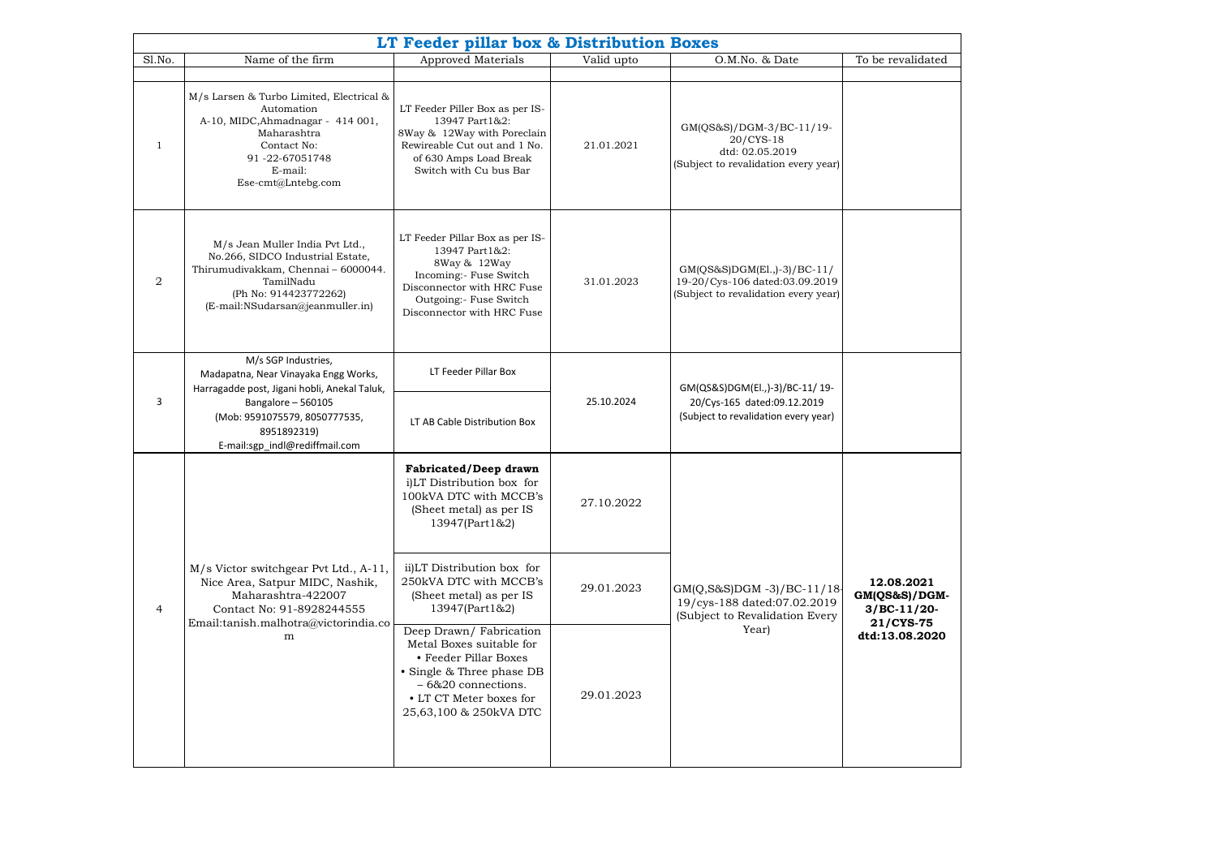| LT Feeder pillar box & Distribution Boxes |                                                                                                                                                                                      |                                                                                                                                                                                      |            |                                                                                                       |                                                                             |  |  |
|-------------------------------------------|--------------------------------------------------------------------------------------------------------------------------------------------------------------------------------------|--------------------------------------------------------------------------------------------------------------------------------------------------------------------------------------|------------|-------------------------------------------------------------------------------------------------------|-----------------------------------------------------------------------------|--|--|
| Sl.No.                                    | Name of the firm                                                                                                                                                                     | <b>Approved Materials</b>                                                                                                                                                            | Valid upto | O.M.No. & Date                                                                                        | To be revalidated                                                           |  |  |
| $\mathbf{1}$                              | M/s Larsen & Turbo Limited, Electrical &<br>Automation<br>A-10, MIDC, Ahmadnagar - 414 001,<br>Maharashtra<br>Contact No:<br>91-22-67051748<br>E-mail:<br>Ese-cmt@Lntebg.com         | LT Feeder Piller Box as per IS-<br>13947 Part1&2:<br>8Way & 12Way with Poreclain<br>Rewireable Cut out and 1 No.<br>of 630 Amps Load Break<br>Switch with Cu bus Bar                 | 21.01.2021 | GM(QS&S)/DGM-3/BC-11/19-<br>20/CYS-18<br>dtd: 02.05.2019<br>(Subject to revalidation every year)      |                                                                             |  |  |
| 2                                         | M/s Jean Muller India Pvt Ltd.,<br>No.266, SIDCO Industrial Estate,<br>Thirumudivakkam, Chennai - 6000044.<br>TamilNadu<br>(Ph No: 914423772262)<br>(E-mail:NSudarsan@jeanmuller.in) | LT Feeder Pillar Box as per IS-<br>13947 Part1&2:<br>8Way & 12Way<br>Incoming:- Fuse Switch<br>Disconnector with HRC Fuse<br>Outgoing:- Fuse Switch<br>Disconnector with HRC Fuse    | 31.01.2023 | GM(QS&S)DGM(E1.,)-3)/BC-11/<br>19-20/Cys-106 dated:03.09.2019<br>(Subject to revalidation every year) |                                                                             |  |  |
| 3                                         | M/s SGP Industries,<br>Madapatna, Near Vinayaka Engg Works,<br>Harragadde post, Jigani hobli, Anekal Taluk,<br>Bangalore - 560105<br>(Mob: 9591075579, 8050777535,<br>8951892319)    | LT Feeder Pillar Box<br>LT AB Cable Distribution Box                                                                                                                                 | 25.10.2024 | GM(QS&S)DGM(El.,)-3)/BC-11/19-<br>20/Cys-165 dated:09.12.2019<br>(Subject to revalidation every year) |                                                                             |  |  |
|                                           | E-mail:sgp indl@rediffmail.com                                                                                                                                                       | Fabricated/Deep drawn<br>i)LT Distribution box for<br>100kVA DTC with MCCB's<br>(Sheet metal) as per IS<br>13947(Part1&2)                                                            | 27.10.2022 |                                                                                                       |                                                                             |  |  |
| $\overline{4}$                            | M/s Victor switchgear Pvt Ltd., A-11,<br>Nice Area, Satpur MIDC, Nashik,<br>Maharashtra-422007<br>Contact No: 91-8928244555<br>Email:tanish.malhotra@victorindia.co<br>m             | ii)LT Distribution box for<br>250kVA DTC with MCCB's<br>(Sheet metal) as per IS<br>13947(Part1&2)                                                                                    | 29.01.2023 | GM(Q,S&S)DGM-3)/BC-11/18<br>19/cys-188 dated:07.02.2019<br>(Subject to Revalidation Every<br>Year)    | 12.08.2021<br>GM(QS&S)/DGM-<br>$3/BC-11/20-$<br>21/CYS-75<br>dtd:13.08.2020 |  |  |
|                                           |                                                                                                                                                                                      | Deep Drawn/Fabrication<br>Metal Boxes suitable for<br>• Feeder Pillar Boxes<br>• Single & Three phase DB<br>- 6&20 connections.<br>• LT CT Meter boxes for<br>25,63,100 & 250kVA DTC | 29.01.2023 |                                                                                                       |                                                                             |  |  |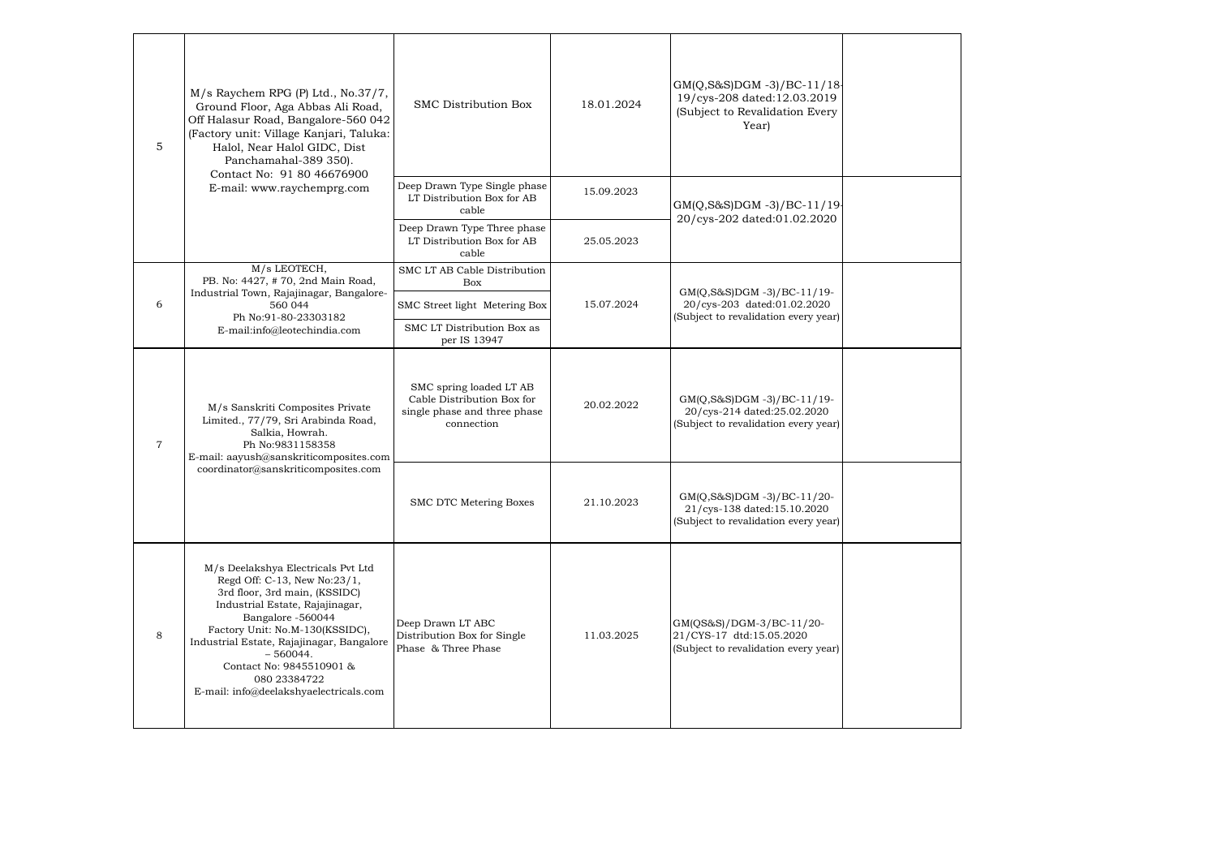| 5              | $M/s$ Raychem RPG (P) Ltd., No.37/7,<br>Ground Floor, Aga Abbas Ali Road,<br>Off Halasur Road, Bangalore-560 042<br>(Factory unit: Village Kanjari, Taluka:<br>Halol, Near Halol GIDC, Dist<br>Panchamahal-389 350).<br>Contact No: 91 80 46676900<br>E-mail: www.raychemprg.com                                                                | SMC Distribution Box                                                                                | 18.01.2024 | GM(Q,S&S)DGM -3)/BC-11/18-<br>19/cys-208 dated:12.03.2019<br>(Subject to Revalidation Every<br>Year) |  |
|----------------|-------------------------------------------------------------------------------------------------------------------------------------------------------------------------------------------------------------------------------------------------------------------------------------------------------------------------------------------------|-----------------------------------------------------------------------------------------------------|------------|------------------------------------------------------------------------------------------------------|--|
|                |                                                                                                                                                                                                                                                                                                                                                 | Deep Drawn Type Single phase<br>LT Distribution Box for AB<br>cable                                 | 15.09.2023 | GM(Q,S&S)DGM -3)/BC-11/19<br>20/cys-202 dated:01.02.2020                                             |  |
|                |                                                                                                                                                                                                                                                                                                                                                 | Deep Drawn Type Three phase<br>LT Distribution Box for AB<br>cable                                  | 25.05.2023 |                                                                                                      |  |
| 6              | M/s LEOTECH,<br>PB. No: 4427, #70, 2nd Main Road,<br>Industrial Town, Rajajinagar, Bangalore-<br>560 044<br>Ph No:91-80-23303182<br>E-mail:info@leotechindia.com                                                                                                                                                                                | SMC LT AB Cable Distribution<br>Box                                                                 |            | GM(O,S&S)DGM -3)/BC-11/19-<br>20/cvs-203 dated:01.02.2020<br>(Subject to revalidation every year)    |  |
|                |                                                                                                                                                                                                                                                                                                                                                 | SMC Street light Metering Box                                                                       | 15.07.2024 |                                                                                                      |  |
|                |                                                                                                                                                                                                                                                                                                                                                 | SMC LT Distribution Box as<br>per IS 13947                                                          |            |                                                                                                      |  |
| $\overline{7}$ | M/s Sanskriti Composites Private<br>Limited., 77/79, Sri Arabinda Road,<br>Salkia, Howrah.<br>Ph No:9831158358<br>E-mail: aayush@sanskriticomposites.com<br>coordinator@sanskriticomposites.com                                                                                                                                                 | SMC spring loaded LT AB<br>Cable Distribution Box for<br>single phase and three phase<br>connection | 20.02.2022 | GM(Q,S&S)DGM -3)/BC-11/19-<br>20/cys-214 dated:25.02.2020<br>(Subject to revalidation every year)    |  |
|                |                                                                                                                                                                                                                                                                                                                                                 | SMC DTC Metering Boxes                                                                              | 21.10.2023 | GM(O,S&S)DGM -3)/BC-11/20-<br>21/cys-138 dated:15.10.2020<br>(Subject to revalidation every year)    |  |
| 8              | M/s Deelakshya Electricals Pvt Ltd<br>Regd Off: C-13, New No:23/1,<br>3rd floor, 3rd main, (KSSIDC)<br>Industrial Estate, Rajajinagar,<br>Bangalore -560044<br>Factory Unit: No.M-130(KSSIDC),<br>Industrial Estate, Rajajinagar, Bangalore<br>$-560044.$<br>Contact No: 9845510901 &<br>080 23384722<br>E-mail: info@deelakshyaelectricals.com | Deep Drawn LT ABC<br>Distribution Box for Single<br>Phase & Three Phase                             | 11.03.2025 | GM(OS&S)/DGM-3/BC-11/20-<br>21/CYS-17 dtd:15.05.2020<br>(Subject to revalidation every year)         |  |